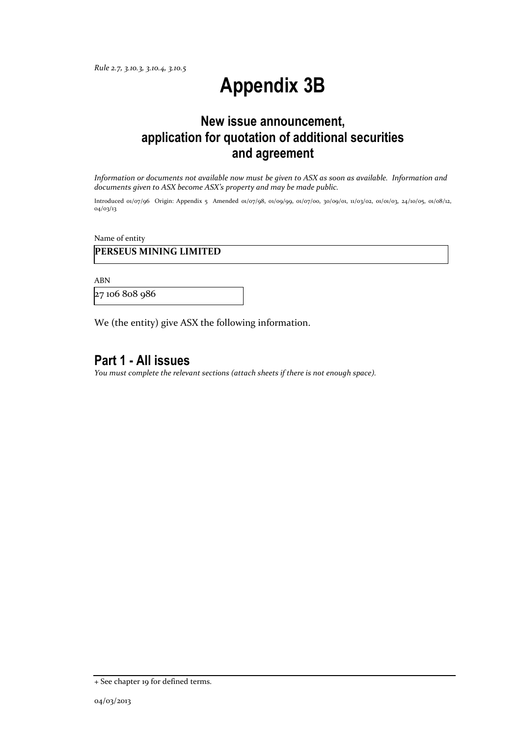*Rule 2.7, 3.10.3, 3.10.4, 3.10.5*

# **Appendix 3B**

# **New issue announcement, application for quotation of additional securities and agreement**

*Information or documents not available now must be given to ASX as soon as available. Information and documents given to ASX become ASX's property and may be made public.*

Introduced 01/07/96 Origin: Appendix 5 Amended 01/07/98, 01/09/99, 01/07/00, 30/09/01, 11/03/02, 01/01/03, 24/10/05, 01/08/12, 04/03/13

Name of entity

### **PERSEUS MINING LIMITED**

ABN

27 106 808 986

We (the entity) give ASX the following information.

# **Part 1 - All issues**

*You must complete the relevant sections (attach sheets if there is not enough space).*

<sup>+</sup> See chapter 19 for defined terms.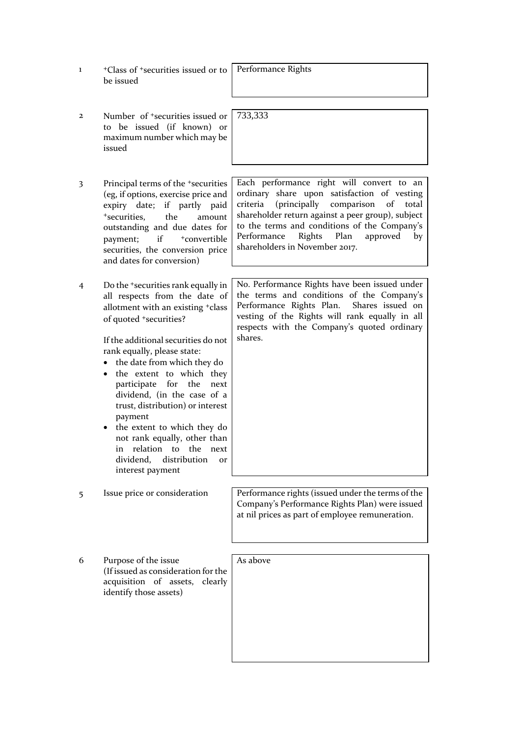- 1 <sup>+</sup>Class of +securities issued or to be issued
- 2 Number of +securities issued or to be issued (if known) or maximum number which may be issued
- 3 Principal terms of the +securities (eg, if options, exercise price and expiry date; if partly paid <sup>+</sup>securities, the amount outstanding and due dates for payment; if  $+$ convertible securities, the conversion price and dates for conversion)
- 4 Do the +securities rank equally in all respects from the date of allotment with an existing +class of quoted +securities?

If the additional securities do not rank equally, please state:

- the date from which they do
- the extent to which they participate for the next dividend, (in the case of a trust, distribution) or interest payment
- the extent to which they do not rank equally, other than in relation to the next dividend, distribution or interest payment

Performance Rights

733,333

Each performance right will convert to an ordinary share upon satisfaction of vesting criteria (principally comparison of total shareholder return against a peer group), subject to the terms and conditions of the Company's Performance Rights Plan approved by shareholders in November 2017.

No. Performance Rights have been issued under the terms and conditions of the Company's Performance Rights Plan. Shares issued on vesting of the Rights will rank equally in all respects with the Company's quoted ordinary shares.

5 Issue price or consideration Performance rights (issued under the terms of the Company's Performance Rights Plan) were issued at nil prices as part of employee remuneration.

6 Purpose of the issue (If issued as consideration for the acquisition of assets, clearly identify those assets)

As above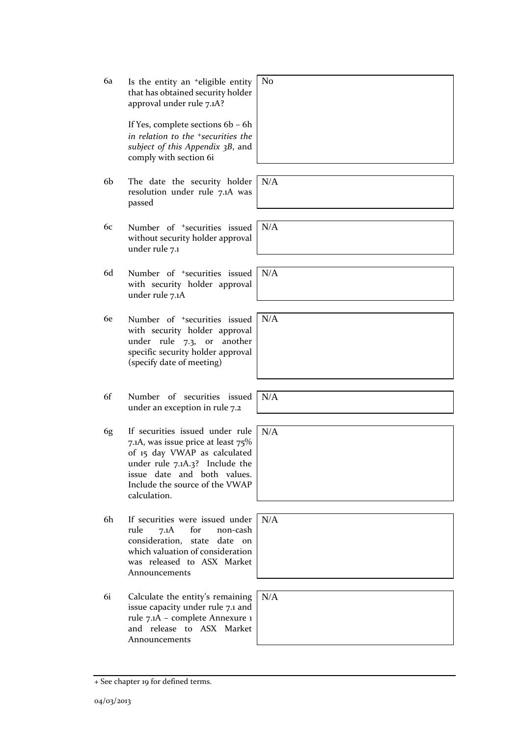- approval under rule 7.1A? If Yes, complete sections 6b – 6h *in relation to the +securities the subject of this Appendix 3B*, and comply with section 6i 6b The date the security holder resolution under rule 7.1A was passed N/A 6c Number of +securities issued without security holder approval under rule 7.1 N/A 6d Number of +securities issued with security holder approval under rule 7.1A N/A 6e Number of +securities issued with security holder approval under rule 7.3, or another specific security holder approval (specify date of meeting) N/A 6f Number of securities issued under an exception in rule 7.2 N/A 6g If securities issued under rule 7.1A, was issue price at least 75% of 15 day VWAP as calculated under rule 7.1A.3? Include the issue date and both values. Include the source of the VWAP calculation. N/A 6h If securities were issued under rule 7.1A for non-cash consideration, state date on which valuation of consideration was released to ASX Market Announcements N/A 6i Calculate the entity's remaining issue capacity under rule 7.1 and rule 7.1A – complete Annexure 1 and release to ASX Market Announcements N/A
	-

No

6a Is the entity an +eligible entity that has obtained security holder

- 
- 



|          | $d$ N/A |
|----------|---------|
|          |         |
|          |         |
|          | $e$ N/A |
| $\delta$ |         |
| d        |         |
| e        |         |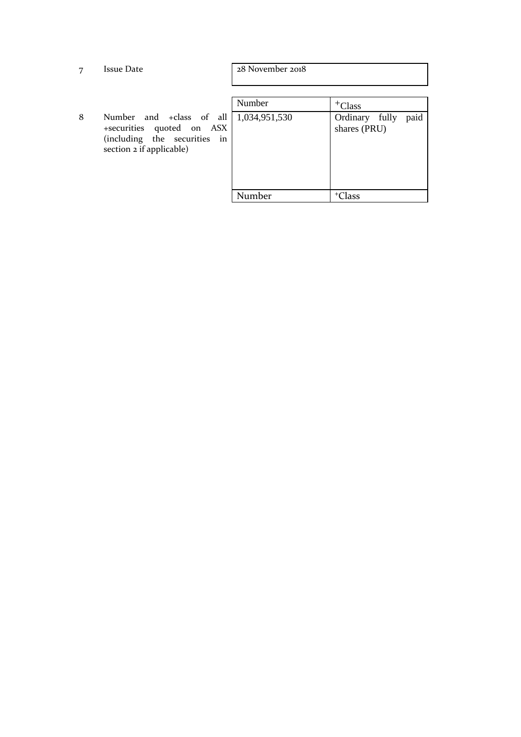| 7 | <b>Issue Date</b>                                                                                                    | 28 November 2018        |                                                     |
|---|----------------------------------------------------------------------------------------------------------------------|-------------------------|-----------------------------------------------------|
| 8 | Number and +class of all<br>+securities quoted on ASX<br>(including the securities<br>in<br>section 2 if applicable) | Number<br>1,034,951,530 | $+C$ lass<br>paid<br>Ordinary fully<br>shares (PRU) |
|   |                                                                                                                      | Number                  | <sup>+</sup> Class                                  |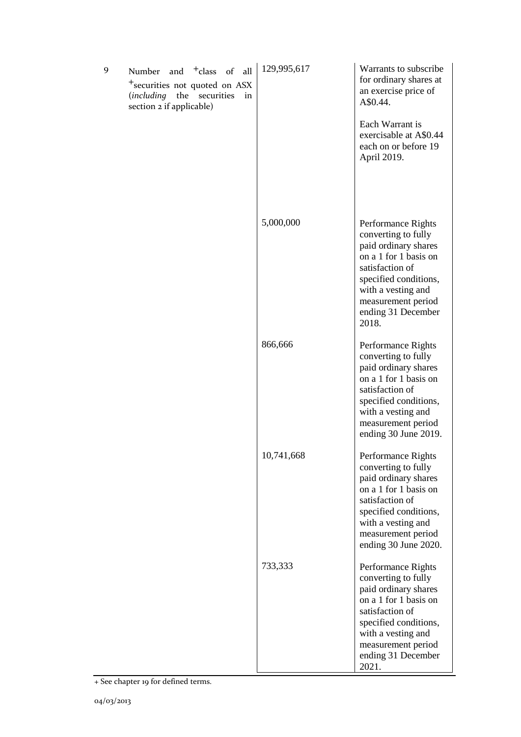| 9 | and <sup>+</sup> class of<br>Number<br>all<br><sup>+</sup> securities not quoted on ASX<br>(including the<br>securities<br>in<br>section 2 if applicable) | 129,995,617 | Warrants to subscribe<br>for ordinary shares at<br>an exercise price of<br>A\$0.44.<br>Each Warrant is<br>exercisable at A\$0.44<br>each on or before 19<br>April 2019.                                           |
|---|-----------------------------------------------------------------------------------------------------------------------------------------------------------|-------------|-------------------------------------------------------------------------------------------------------------------------------------------------------------------------------------------------------------------|
|   |                                                                                                                                                           | 5,000,000   | Performance Rights<br>converting to fully<br>paid ordinary shares<br>on a 1 for 1 basis on<br>satisfaction of<br>specified conditions,<br>with a vesting and<br>measurement period<br>ending 31 December<br>2018. |
|   |                                                                                                                                                           | 866,666     | Performance Rights<br>converting to fully<br>paid ordinary shares<br>on a 1 for 1 basis on<br>satisfaction of<br>specified conditions,<br>with a vesting and<br>measurement period<br>ending 30 June 2019.        |
|   |                                                                                                                                                           | 10,741,668  | Performance Rights<br>converting to fully<br>paid ordinary shares<br>on a 1 for 1 basis on<br>satisfaction of<br>specified conditions,<br>with a vesting and<br>measurement period<br>ending 30 June 2020.        |
|   |                                                                                                                                                           | 733,333     | Performance Rights<br>converting to fully<br>paid ordinary shares<br>on a 1 for 1 basis on<br>satisfaction of<br>specified conditions,<br>with a vesting and<br>measurement period<br>ending 31 December<br>2021. |

<sup>+</sup> See chapter 19 for defined terms.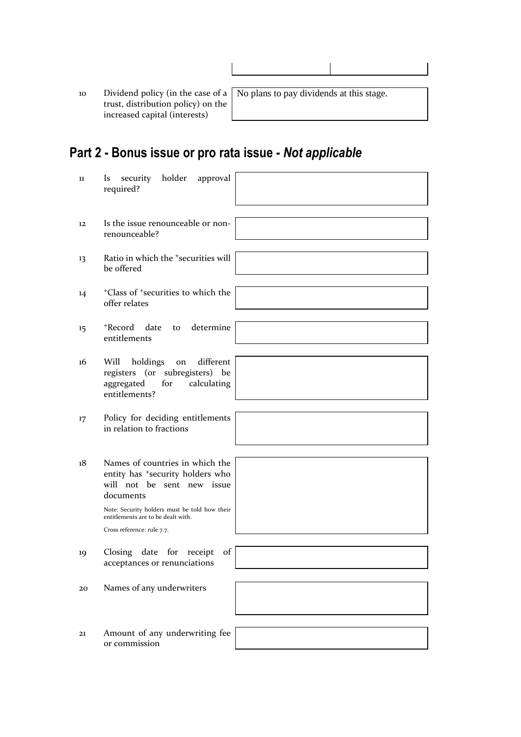10 Dividend policy (in the case of a trust, distribution policy) on the increased capital (interests)

No plans to pay dividends at this stage.

# **Part 2 - Bonus issue or pro rata issue -** *Not applicable*

| 11 | holder<br>approval<br>Is<br>security<br>required?                                                                          |
|----|----------------------------------------------------------------------------------------------------------------------------|
| 12 | Is the issue renounceable or non-<br>renounceable?                                                                         |
| 13 | Ratio in which the <sup>+</sup> securities will<br>be offered                                                              |
| 14 | <sup>+</sup> Class of <sup>+</sup> securities to which the<br>offer relates                                                |
| 15 | +Record date<br>determine<br>to<br>entitlements                                                                            |
| 16 | different<br>Will<br>holdings<br>on<br>registers (or subregisters) be<br>aggregated<br>for<br>calculating<br>entitlements? |
| 17 | Policy for deciding entitlements<br>in relation to fractions                                                               |
| 18 | Names of countries in which the<br>entity has <sup>+</sup> security holders who<br>will not be sent new issue<br>documents |
|    | Note: Security holders must be told how their<br>entitlements are to be dealt with.<br>Cross reference: rule 7.7.          |
| 19 | Closing date for receipt<br>of<br>acceptances or renunciations                                                             |
| 20 | Names of any underwriters                                                                                                  |
| 21 | Amount of any underwriting fee<br>or commission                                                                            |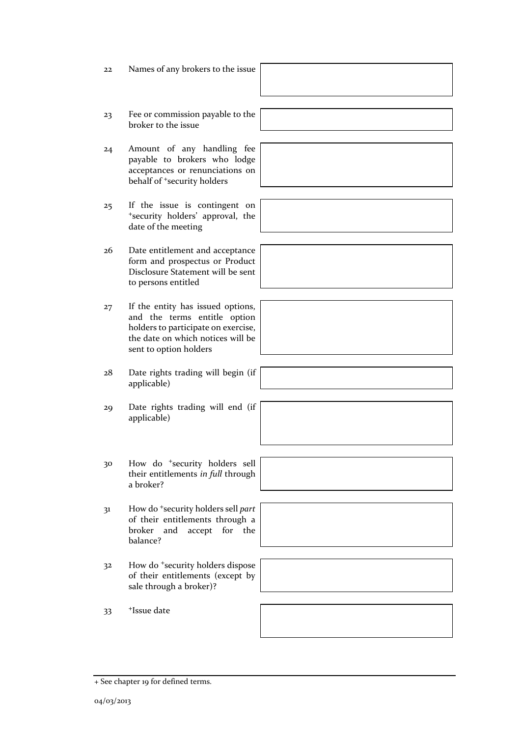- 22 Names of any brokers to the issue
- 23 Fee or commission payable to the broker to the issue
- 24 Amount of any handling fee payable to brokers who lodge acceptances or renunciations on behalf of <sup>+</sup>security holders
- 25 If the issue is contingent on <sup>+</sup>security holders' approval, the date of the meeting
- 26 Date entitlement and acceptance form and prospectus or Product Disclosure Statement will be sent to persons entitled
- 27 If the entity has issued options, and the terms entitle option holders to participate on exercise, the date on which notices will be sent to option holders
- 28 Date rights trading will begin (if applicable)
- 29 Date rights trading will end (if applicable)
- 30 How do <sup>+</sup>security holders sell their entitlements *in full* through a broker?
- 31 How do <sup>+</sup>security holders sell *part* of their entitlements through a broker and accept for the balance?
- 32 How do <sup>+</sup>security holders dispose of their entitlements (except by sale through a broker)?
- 33 +Issue date

+ See chapter 19 for defined terms.

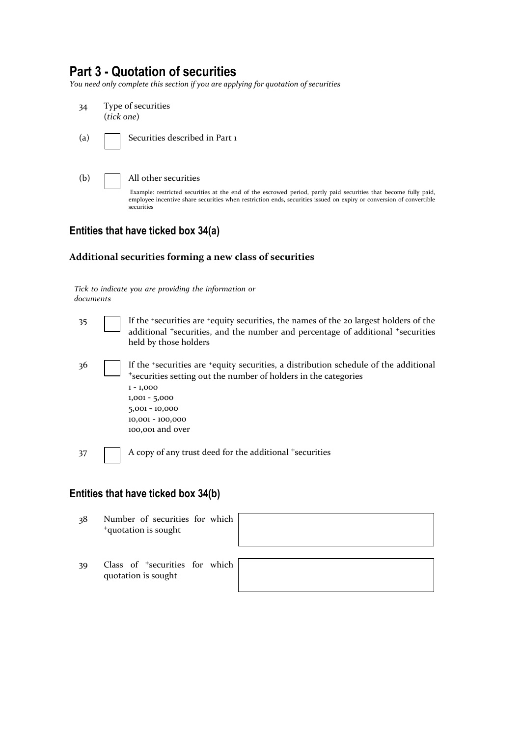# **Part 3 - Quotation of securities**

*You need only complete this section if you are applying for quotation of securities*



## **Entities that have ticked box 34(a)**

#### **Additional securities forming a new class of securities**

*Tick to indicate you are providing the information or documents*

35 If the <sup>+</sup>securities are <sup>+</sup>equity securities, the names of the 20 largest holders of the additional <sup>+</sup>securities, and the number and percentage of additional <sup>+</sup>securities held by those holders 36 If the +securities are +equity securities, a distribution schedule of the additional <sup>+</sup>securities setting out the number of holders in the categories 1 - 1,000 1,001 - 5,000 5,001 - 10,000 10,001 - 100,000 100,001 and over

37 A copy of any trust deed for the additional +securities

### **Entities that have ticked box 34(b)**

- 38 Number of securities for which <sup>+</sup>quotation is sought
- 39 Class of <sup>+</sup>securities for which quotation is sought

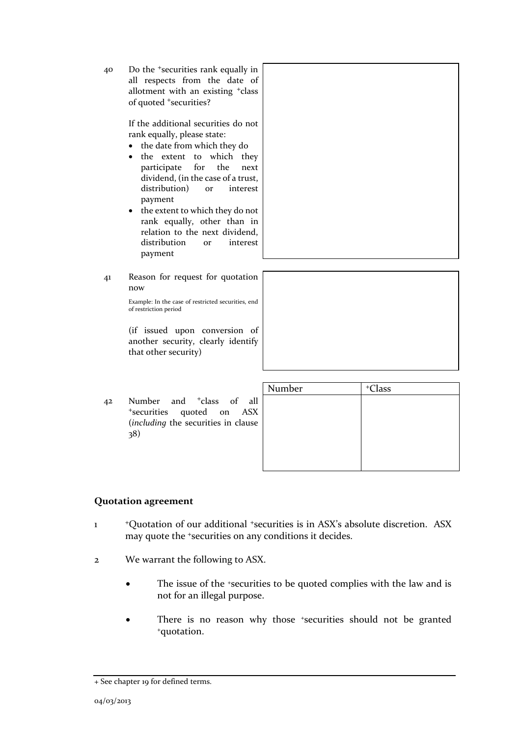40 Do the <sup>+</sup>securities rank equally in all respects from the date of allotment with an existing <sup>+</sup>class of quoted <sup>+</sup>securities?

> If the additional securities do not rank equally, please state:

- the date from which they do
- the extent to which they participate for the next dividend, (in the case of a trust, distribution) or interest payment
- the extent to which they do not rank equally, other than in relation to the next dividend, distribution or interest payment
- 41 Reason for request for quotation now

Example: In the case of restricted securities, end of restriction period

(if issued upon conversion of another security, clearly identify that other security)

42 Number and <sup>+</sup>class of all <sup>+</sup>securities quoted on ASX (*including* the securities in clause 38)

| Number | <sup>+</sup> Class |  |
|--------|--------------------|--|
|        |                    |  |
|        |                    |  |
|        |                    |  |
|        |                    |  |
|        |                    |  |

### **Quotation agreement**

- 1 <sup>+</sup>Quotation of our additional <sup>+</sup>securities is in ASX's absolute discretion. ASX may quote the <sup>+</sup>securities on any conditions it decides.
- 2 We warrant the following to ASX.
	- The issue of the +securities to be quoted complies with the law and is not for an illegal purpose.
	- There is no reason why those +securities should not be granted +quotation.

<sup>+</sup> See chapter 19 for defined terms.